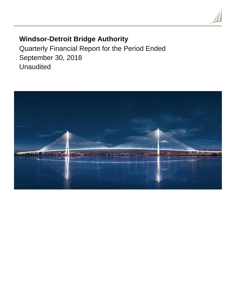# **Windsor-Detroit Bridge Authority**

Quarterly Financial Report for the Period Ended September 30, 2018 Unaudited

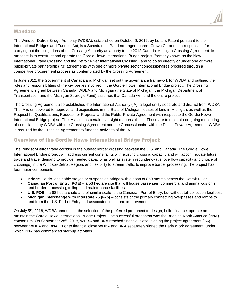

# Mandate

The Windsor-Detroit Bridge Authority (WDBA), established on October 9, 2012, by Letters Patent pursuant to the International Bridges and Tunnels Act, is a Schedule III, Part I non-agent parent Crown Corporation responsible for carrying out the obligations of the Crossing Authority as a party to the 2012 Canada-Michigan Crossing Agreement. Its mandate is to construct and operate the Gordie Howe International Bridge project (formerly known as the New International Trade Crossing and the Detroit River International Crossing), and to do so directly or under one or more public-private partnership (P3) agreements with one or more private sector concessionaires procured through a competitive procurement process as contemplated by the Crossing Agreement.

In June 2012, the Government of Canada and Michigan set out the governance framework for WDBA and outlined the roles and responsibilities of the key parties involved in the Gordie Howe International Bridge project. The Crossing Agreement, signed between Canada, WDBA and Michigan (the State of Michigan, the Michigan Department of Transportation and the Michigan Strategic Fund) assumes that Canada will fund the entire project.

The Crossing Agreement also established the International Authority (IA), a legal entity separate and distinct from WDBA. The IA is empowered to approve land acquisitions in the State of Michigan, leases of land in Michigan, as well as the Request for Qualifications, Request for Proposal and the Public-Private Agreement with respect to the Gordie Howe International Bridge project. The IA also has certain oversight responsibilities. These are to maintain on-going monitoring of compliance by WDBA with the Crossing Agreement and the Concessionaire with the Public-Private Agreement. WDBA is required by the Crossing Agreement to fund the activities of the IA.

# Overview of the Gordie Howe International Bridge Project

The Windsor-Detroit trade corridor is the busiest border crossing between the U.S. and Canada. The Gordie Howe International Bridge project will address current constraints with existing crossing capacity and will accommodate future trade and travel demand to provide needed capacity as well as system redundancy (i.e. overflow capacity and choice of crossings) in the Windsor-Detroit Region, and flexibility to stream traffic to improve border processing. The project has four major components:

- **Bridge** a six-lane cable-stayed or suspension bridge with a span of 850 metres across the Detroit River.
- **Canadian Port of Entry (POE)** a 53 hectare site that will house passenger, commercial and animal customs and border processing, tolling, and maintenance facilities.
- **U.S. POE** a 68 hectare site and of similar scale to the Canadian Port of Entry, but without toll collection facilities.
- **Michigan Interchange with Interstate 75 (I-75)**  consists of the primary connecting overpasses and ramps to and from the U.S. Port of Entry and associated local road improvements.

On July 5<sup>th</sup>, 2018, WDBA announced the selection of the preferred proponent to design, build, finance, operate and maintain the Gordie Howe International Bridge Project. The successful proponent was the Bridging North America (BNA) consortium. On September 28th, 2018, WDBA and BNA reached financial close, signing the project agreement (PA) between WDBA and BNA. Prior to financial close WDBA and BNA separately signed the Early Work agreement, under which BNA has commenced start-up activities.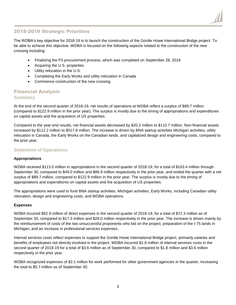# 2018-2019 Strategic Priorities

The WDBA's key objective for 2018-19 is to launch the construction of the Gordie Howe International Bridge project. To be able to achieve this objective, WDBA is focused on the following aspects related to the construction of the new crossing including:

- Finalizing the P3 procurement process, which was completed on September 28, 2018
- Acquiring the U.S. properties
- Utility relocation in the U.S.
- Completing the Early Works and utility relocation in Canada
- Commence construction of the new crossing

# Financial Analysis **Summary**

At the end of the second quarter of 2018-19, net results of operations at WDBA reflect a surplus of \$89.7 million (compared to \$122.9 million in the prior year). The surplus is mostly due to the timing of appropriations and expenditures on capital assets and the acquisition of US properties.

Compared to the year end results, net financial assets decreased by \$20.2 million to \$110.7 million. Non-financial assets increased by \$112.2 million to \$517.8 million. The increase is driven by BNA startup activities Michigan activities, utility relocation in Canada, the Early Works on the Canadian lands, and capitalized design and engineering costs, compared to the prior year.

# **Statement of Operations**

#### **Appropriations**

WDBA received \$113.0 million in appropriations in the second quarter of 2018-19, for a total of \$163.4 million through September 30, compared to \$49.0 million and \$86.9 million respectively in the prior year, and ended the quarter with a net surplus of \$89.7 million, compared to \$122.9 million in the prior year. The surplus is mostly due to the timing of appropriations and expenditures on capital assets and the acquisition of US properties.

The appropriations were used to fund BNA startup activities, Michigan activities, Early Works, including Canadian utility relocation, design and engineering costs, and WDBA operations.

#### **Expenses**

WDBA incurred \$52.9 million of direct expenses in the second quarter of 2018-19, for a total of \$72.3 million as of September 30, compared to \$17.3 million and \$28.0 million respectively in the prior year. The increase is driven mainly by the reimbursement of costs of the two unsuccessful proponents who bid on the project, preparation of the I-75 lands in Michigan, and an increase in professional services expenses.

Internal services costs reflect expenses to support the Gordie Howe International Bridge project, primarily salaries and benefits of employees not directly involved in the project. WDBA incurred \$1.8 million of internal services costs in the second quarter of 2018-19 for a total of \$3.6 million as of September 30, compared to \$1.8 million and \$3.6 million respectively in the prior year.

WDBA recognized expenses of \$2.1 million for work performed for other government agencies in the quarter, increasing the total to \$5.7 million as of September 30.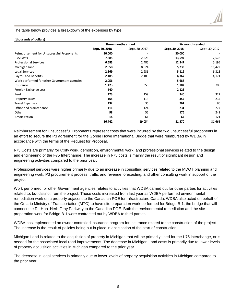The table below provides a breakdown of the expenses by type:

| (thousands of dollars) |  |
|------------------------|--|
|------------------------|--|

|                                              | Three months ended |                | Six months ended |                |  |
|----------------------------------------------|--------------------|----------------|------------------|----------------|--|
|                                              | Sept. 30, 2018     | Sept. 30, 2017 | Sept. 30, 2018   | Sept. 30, 2017 |  |
| Reimbursement for Unsuccessful Proponents    | 30,000             |                | 30,000           |                |  |
| I-75 Costs                                   | 7,885              | 2,526          | 13,594           | 2,578          |  |
| <b>Professional Services</b>                 | 6,583              | 2,485          | 12,247           | 5,195          |  |
| Michigan Land                                | 2,958              | 8,024          | 5,233            | 11,422         |  |
| Legal Services                               | 2,369              | 2,936          | 5,112            | 6,318          |  |
| <b>Payroll and Benefits</b>                  | 2,185              | 2,185          | 4,367            | 4,171          |  |
| Work performed for other Government agencies | 2,056              |                | 5,688            |                |  |
| Insurance                                    | 1,473              | 350            | 1,782            | 705            |  |
| Foreign Exchange Loss                        | 540                |                | 2,123            |                |  |
| Rent                                         | 173                | 159            | 340              | 322            |  |
| <b>Property Taxes</b>                        | 165                | 113            | 352              | 235            |  |
| <b>Travel Expenses</b>                       | 132                | 36             | 261              | 80             |  |
| Office and Maintenance                       | 111                | 124            | 231              | 277            |  |
| Other                                        | 98                 | 55             | 176              | 241            |  |
| Amortization                                 | 14                 | 61             | 64               | 121            |  |
|                                              | 56,742             | 19,054         | 81,570           | 31,665         |  |

Reimbursement for Unsuccessful Proponents represent costs that were incurred by the two unsuccessful proponents in an effort to secure the P3 agreement for the Gordie Howe International Bridge that were reimbursed by WDBA in accordance with the terms of the Request for Proposal.

I-75 Costs are primarily for utility work, demolition, environmental work, and professional services related to the design and engineering of the I-75 Interchange. The increase in I-75 costs is mainly the result of significant design and engineering activities compared to the prior year.

Professional services were higher primarily due to an increase in consulting services related to the MDOT planning and engineering work, P3 procurement process, traffic and revenue forecasting, and other consulting work in support of the project.

Work performed for other Government agencies relates to activities that WDBA carried out for other parties for activities related to, but distinct from the project. These costs increased from last year as WDBA performed environmental remediation work on a property adjacent to the Canadian POE for Infrastructure Canada. WDBA also acted on behalf of the Ontario Ministry of Transportation (MTO) to have site preparation work performed for Bridge B-1; the bridge that will connect the Rt. Hon. Herb Gray Parkway to the Canadian POE. Both the environmental remediation and the site preparation work for Bridge B-1 were contracted out by WDBA to third parties.

WDBA has implemented an owner-controlled insurance program for insurance related to the construction of the project. The increase is the result of policies being put in place in anticipation of the start of construction.

Michigan Land is related to the acquisition of property in Michigan that will be primarily used for the I-75 interchange, or is needed for the associated local road improvements. The decrease in Michigan Land costs is primarily due to lower levels of property acquisition activities in Michigan compared to the prior year.

The decrease in legal services is primarily due to lower levels of property acquisition activities in Michigan compared to the prior year.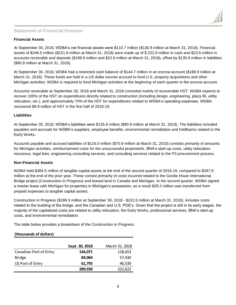# **Statement of Financial Position**

### **Financial Assets**

At September 30, 2018, WDBA's net financial assets were \$110.7 million (\$130.9 million at March 31, 2018). Financial assets of \$246.5 million (\$221.8 million at March 31, 2018) were made up of \$ 222.9 million in cash and \$23.6 million in accounts receivable and deposits (\$198.9 million and \$22.9 million at March 31, 2018), offset by \$135.9 million in liabilities (\$90.9 million at March 31, 2018).

At September 30, 2018, WDBA had a restricted cash balance of \$144.7 million in an escrow account (\$189.9 million at March 31, 2018). These funds are held in a US dollar escrow account to fund U.S. property acquisitions and other Michigan activities. WDBA is required to fund Michigan activities at the beginning of each quarter in the escrow account.

Accounts receivable at September 30, 2018 and March 31, 2018 consisted mainly of recoverable HST. WDBA expects to recover 100% of the HST on expenditures directly related to construction (including design, engineering, plaza fill, utility relocation, etc.), and approximately 70% of the HST for expenditures related to WDBA's operating expenses. WDBA recovered \$9.9 million of HST in the first half of 2018-19.

#### **Liabilities**

At September 30, 2018, WDBA's liabilities were \$135.9 million (\$90.9 million at March 31, 2018). The liabilities included payables and accruals for WDBA's suppliers, employee benefits, environmental remediation and holdbacks related to the Early Works.

Accounts payable and accrued liabilities of \$116.0 million (\$70.9 million at March 31, 2018) consists primarily of amounts for Michigan activities, reimbursement costs for the unsuccessful proponents, BNA's start-up costs, utility relocation, insurance, legal fees, engineering consulting services, and consulting services related to the P3 procurement process.

#### **Non-Financial Assets**

WDBA held \$384.5 million of tangible capital assets at the end of the second quarter of 2018-19, compared to \$287.9 million at the end of the prior year. These consist primarily of costs incurred related to the Gordie Howe International Bridge project (Construction in Progress) and leased land in Canada and Michigan. In the second quarter, WDBA signed a master lease with Michigan for properties in Michigan's possession, as a result \$29.2 million was transferred from prepaid expenses to tangible capital assets.

Construction in Progress (\$289.9 million at September 30, 2018 - \$222.6 million at March 31, 2018), includes costs related to the building of the bridge, and the Canadian and U.S. POE's. Given that the project is still in its early stages, the majority of the capitalized costs are related to utility relocation, the Early Works, professional services, BNA's start-up costs, and environmental remediation.

The table below provides a breakdown of the Construction in Progress:

### **(thousands of dollars)**

|                        | Sept. 30, 2018 | March 31, 2018 |
|------------------------|----------------|----------------|
| Canadian Port of Entry | 144,071        | 118,653        |
| <b>Bridge</b>          | 84,064         | 57,430         |
| US Port of Entry       | 61,795         | 46,539         |
|                        | 289,930        | 222,622        |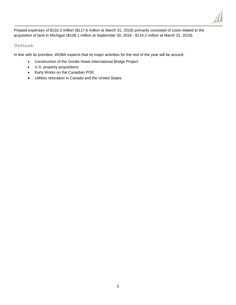

Prepaid expenses of \$133.3 million (\$117.6 million at March 31, 2018) primarily consisted of costs related to the acquisition of land in Michigan (\$108.1 million at September 30, 2018 - \$114.2 million at March 31, 2018).

# Outlook

In line with its priorities, WDBA expects that its major activities for the rest of the year will be around:

- Construction of the Gordie Howe International Bridge Project
- U.S. property acquisitions
- Early Works on the Canadian POE
- Utilities relocation in Canada and the United States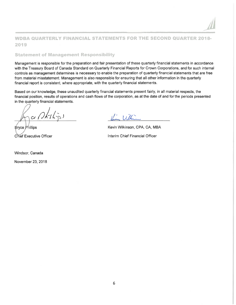# **WDBA QUARTERLY FINANCIAL STATEMENTS FOR THE SECOND QUARTER 2018-**2019

### **Statement of Management Responsibility**

Management is responsible for the preparation and fair presentation of these quarterly financial statements in accordance with the Treasury Board of Canada Standard on Quarterly Financial Reports for Crown Corporations, and for such internal controls as management determines is necessary to enable the preparation of quarterly financial statements that are free from material misstatement. Management is also responsible for ensuring that all other information in the quarterly financial report is consistent, where appropriate, with the quarterly financial statements.

Based on our knowledge, these unaudited quarterly financial statements present fairly, in all material respects, the financial position, results of operations and cash flows of the corporation, as at the date of and for the periods presented in the quarterly financial statements.

**Bryce Phillips Chief Executive Officer** 

Windsor, Canada

November 23, 2018

 $\frac{1}{2}$ 

Kevin Wilkinson, CPA, CA, MBA Interim Chief Financial Officer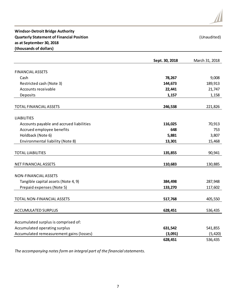# **Windsor-Detroit Bridge Authority Quarterly Statement of Financial Position** and the control of the control of the control of the control of the control of the control of the control of the control of the control of the control of the control of the contr **as at September 30, 2018 (thousands of dollars)**

|                                          | Sept. 30, 2018 | March 31, 2018 |
|------------------------------------------|----------------|----------------|
| <b>FINANCIAL ASSETS</b>                  |                |                |
| Cash                                     | 78,267         | 9,008          |
| Restricted cash (Note 3)                 | 144,673        | 189,913        |
| Accounts receivable                      | 22,441         | 21,747         |
| Deposits                                 | 1,157          | 1,158          |
|                                          |                |                |
| TOTAL FINANCIAL ASSETS                   | 246,538        | 221,826        |
| <b>LIABILITIES</b>                       |                |                |
| Accounts payable and accrued liabilities | 116,025        | 70,913         |
| Accrued employee benefits                | 648            | 753            |
| Holdback (Note 6)                        | 5,881          | 3,807          |
| Environmental liability (Note 8)         | 13,301         | 15,468         |
| <b>TOTAL LIABILITIES</b>                 | 135,855        | 90,941         |
| NET FINANCIAL ASSETS                     | 110,683        | 130,885        |
|                                          |                |                |
| <b>NON-FINANCIAL ASSETS</b>              |                |                |
| Tangible capital assets (Note 4, 9)      | 384,498        | 287,948        |
| Prepaid expenses (Note 5)                | 133,270        | 117,602        |
| TOTAL NON-FINANCIAL ASSETS               | 517,768        | 405,550        |
| <b>ACCUMULATED SURPLUS</b>               | 628,451        | 536,435        |
|                                          |                |                |
| Accumulated surplus is comprised of:     |                |                |
| Accumulated operating surplus            | 631,542        | 541,855        |
| Accumulated remeasurement gains (losses) | (3,091)        | (5, 420)       |
|                                          | 628,451        | 536,435        |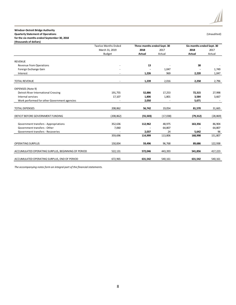#### **Windsor-Detroit Bridge Authority**

**Quarterly Statement of Operations** (Unaudited)

**for the six months ended September 30, 2018 (thousands of dollars)**

|                                                    | <b>Twelve Months Ended</b> | Three months ended Sept. 30 |          | Six months ended Sept. 30 |           |
|----------------------------------------------------|----------------------------|-----------------------------|----------|---------------------------|-----------|
|                                                    | March 31, 2019             | 2018                        | 2017     | 2018                      | 2017      |
|                                                    | Budget                     | <b>Actual</b>               | Actual   | <b>Actual</b>             | Actual    |
| <b>REVENUE</b>                                     |                            |                             |          |                           |           |
| <b>Revenue from Operations</b>                     |                            | 13                          |          | 38                        |           |
| Foreign Exchange Gain                              |                            |                             | 1,047    |                           | 1,749     |
| Interest                                           |                            | 1,226                       | 969      | 2,220                     | 1,047     |
| <b>TOTAL REVENUE</b>                               |                            | 1,239                       | 2,016    | 2,258                     | 2,796     |
| <b>EXPENSES (Note 9)</b>                           |                            |                             |          |                           |           |
| <b>Detroit River International Crossing</b>        | 191,755                    | 52,886                      | 17,253   | 72,315                    | 27,998    |
| Internal services                                  | 17,107                     | 1,806                       | 1,801    | 3,584                     | 3,667     |
| Work performed for other Government agencies       |                            | 2,050                       |          | 5,671                     |           |
| <b>TOTAL EXPENSES</b>                              | 208,862                    | 56,742                      | 19,054   | 81,570                    | 31,665    |
| DEFICIT BEFORE GOVERNMENT FUNDING                  | (208, 862)                 | (55, 503)                   | (17,038) | (79, 312)                 | (28, 869) |
| Government transfers - Appropriations              | 352,636                    | 112,962                     | 48,975   | 163,356                   | 86,904    |
| Government transfers - Other                       | 7,060                      |                             | 64,807   |                           | 64,807    |
| Government transfers - Recoveries                  |                            | 2,037                       | 24       | 5,642                     | 96        |
|                                                    | 359,696                    | 114,999                     | 113,806  | 168,998                   | 151,807   |
| <b>OPERATING SURPLUS</b>                           | 150,834                    | 59,496                      | 96,768   | 89,686                    | 122,938   |
| ACCUMULATED OPERATING SURPLUS, BEGINNING OF PERIOD | 522,131                    | 572,046                     | 443,393  | 541,856                   | 417,223   |
| ACCUMULATED OPERATING SURPLUS, END OF PERIOD       | 672,965                    | 631,542                     | 540,161  | 631,542                   | 540,161   |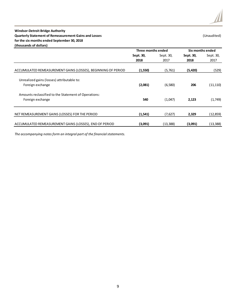### **Windsor-Detroit Bridge Authority Quarterly Statement of Remeasurement Gains and Losses** (Unaudited) **for the six months ended September 30, 2018 (thousands of dollars)**

|                                                               | Three months ended |           |           | Six months ended |
|---------------------------------------------------------------|--------------------|-----------|-----------|------------------|
|                                                               | Sept. 30,          | Sept. 30, | Sept. 30, | Sept. 30,        |
|                                                               | 2018               | 2017      | 2018      | 2017             |
| ACCUMULATED REMEASUREMENT GAINS (LOSSES), BEGINNING OF PERIOD | (1,550)            | (5,761)   | (5,420)   | (529)            |
| Unrealized gains (losses) attributable to:                    |                    |           |           |                  |
| Foreign exchange                                              | (2,081)            | (6,580)   | 206       | (11, 110)        |
| Amounts reclassified to the Statement of Operations:          |                    |           |           |                  |
| Foreign exchange                                              | 540                | (1,047)   | 2,123     | (1,749)          |
|                                                               |                    |           |           |                  |
| NET REMEASUREMENT GAINS (LOSSES) FOR THE PERIOD               | (1, 541)           | (7,627)   | 2,329     | (12,859)         |
| ACCUMULATED REMEASUREMENT GAINS (LOSSES), END OF PERIOD       | (3,091)            | (13,388)  | (3,091)   | (13, 388)        |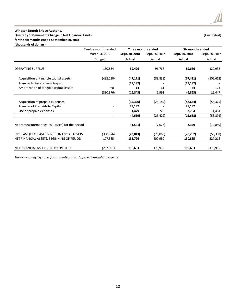#### **Windsor-Detroit Bridge Authority Quarterly Statement of Change in Net Financial Assets** (Unaudited) **for the six months ended September 30, 2018**

**(thousands of dollars)**

|                                                 | Twelve months ended |                | Three months ended |                | Six months ended |
|-------------------------------------------------|---------------------|----------------|--------------------|----------------|------------------|
|                                                 | March 31, 2019      | Sept. 30, 2018 | Sept. 30, 2017     | Sept. 30, 2018 | Sept. 30, 2017   |
|                                                 | <b>Budget</b>       | <b>Actual</b>  | Actual             | Actual         | Actual           |
| <b>OPERATING SURPLUS</b>                        | 150,834             | 59,496         | 96,768             | 89,686         | 122,938          |
| Acquisition of tangible capital assets          | (482,130)           | (47, 171)      | (89, 838)          | (67, 431)      | (106, 612)       |
| <b>Transfer to Assets from Prepaid</b>          |                     | (29, 182)      |                    | (29, 182)      |                  |
| Amortization of tangible capital assets         | 920                 | 14             | 61                 | 64             | 121              |
|                                                 | (330,376)           | (16, 843)      | 6,991              | (6, 863)       | 16,447           |
|                                                 |                     |                |                    |                |                  |
| Acquisition of prepaid expenses                 |                     | (35, 320)      | (26, 149)          | (47, 634)      | (55, 325)        |
| <b>Transfer of Prepaids to Capital</b>          |                     | 29,182         |                    | 29,182         |                  |
| Use of prepaid expenses                         |                     | 1,479          | 720                | 2,784          | 1,434            |
|                                                 |                     | (4, 659)       | (25,429)           | (15, 668)      | (53, 891)        |
| Net remeasurement gains (losses) for the period |                     | (1, 541)       | (7,627)            | 2,329          | (12, 859)        |
| INCREASE (DECREASE) IN NET FINANCIAL ASSETS     | (330,376)           | (23,043)       | (26,065)           | (20, 202)      | (50, 303)        |
| NET FINANCIAL ASSETS, BEGINNING OF PERIOD       | 127,385             | 133,726        | 202,980            | 130,885        | 227,218          |
| NET FINANCIAL ASSETS, END OF PERIOD             | (202,991)           | 110,683        | 176,915            | 110,683        | 176,915          |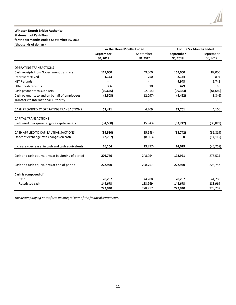#### **Windsor-Detroit Bridge Authority Statement of Cash Flow for the six months ended September 30, 2018 (thousands of dollars)**

|                                                  | For the Three Months Ended |           | <b>For the Six Months Ended</b> |           |
|--------------------------------------------------|----------------------------|-----------|---------------------------------|-----------|
|                                                  | September                  | September | September                       | September |
|                                                  | 30, 2018                   | 30, 2017  | 30, 2018                        | 30, 2017  |
| <b>OPERATING TRANSACTIONS</b>                    |                            |           |                                 |           |
| Cash receipts from Government transfers          | 115,000                    | 49,000    | 169,000                         | 87,000    |
| Interest received                                | 1,173                      | 750       | 2,134                           | 894       |
| <b>HST Refunds</b>                               |                            |           | 9,943                           | 1,742     |
| Other cash receipts                              | 396                        | 10        | 479                             | 16        |
| Cash payments to suppliers                       | (60, 645)                  | (42, 954) | (99, 363)                       | (81, 640) |
| Cash payments to and on behalf of employees      | (2,503)                    | (2,097)   | (4, 492)                        | (3,846)   |
| <b>Transfers to International Authority</b>      |                            |           |                                 |           |
|                                                  |                            |           |                                 |           |
| CASH PROVIDED BY OPERATING TRANSACTIONS          | 53,421                     | 4,709     | 77,701                          | 4,166     |
|                                                  |                            |           |                                 |           |
| <b>CAPITAL TRANSACTIONS</b>                      |                            |           |                                 |           |
| Cash used to acquire tangible capital assets     | (34, 550)                  | (15, 943) | (53, 742)                       | (36, 819) |
|                                                  |                            |           |                                 |           |
| CASH APPLIED TO CAPITAL TRANSACTIONS             | (34, 550)                  | (15, 943) | (53, 742)                       | (36, 819) |
| Effect of exchange rate changes on cash          | (2,707)                    | (8,063)   | 60                              | (14, 115) |
|                                                  |                            |           |                                 |           |
| Increase (decrease) in cash and cash equivalents | 16,164                     | (19, 297) | 24,019                          | (46, 768) |
|                                                  |                            |           |                                 |           |
| Cash and cash equivalents at beginning of period | 206,776                    | 248,054   | 198,921                         | 275,525   |
|                                                  |                            |           |                                 |           |
| Cash and cash equivalents at end of period       | 222,940                    | 228,757   | 222,940                         | 228,757   |
| Cash is composed of:                             |                            |           |                                 |           |
| Cash                                             | 78,267                     | 44,788    | 78,267                          | 44,788    |
| Restricted cash                                  | 144,673                    | 183,969   | 144,673                         | 183,969   |
|                                                  | 222,940                    | 228,757   | 222,940                         | 228,757   |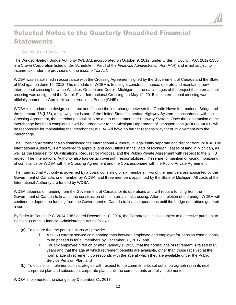# Selected Notes to the Quarterly Unaudited Financial Statements

# 1. Authority and Activities

The Windsor-Detroit Bridge Authority (WDBA), incorporated on October 9, 2012, under Order in Council P.C. 2012-1350, is a Crown Corporation listed under Schedule III Part I of the *Financial Administration Act* (*FAA*) and is not subject to income tax under the provisions of the *Income Tax Act*.

WDBA was established in accordance with the Crossing Agreement signed by the Government of Canada and the State of Michigan on June 15, 2012. The mandate of WDBA is to design, construct, finance, operate and maintain a new international crossing between Windsor, Ontario and Detroit, Michigan. In the early stages of the project the international crossing was designated the Detroit River International Crossing; on May 14, 2015, the international crossing was officially named the Gordie Howe International Bridge (GHIB).

WDBA is mandated to design, construct and finance the interchange between the Gordie Howe International Bridge and the Interstate 75 (I-75), a highway that is part of the United States' Interstate Highway System. In accordance with the Crossing Agreement, the interchange shall also be a part of the Interstate Highway System. Once the construction of the interchange has been completed it will be turned over to the Michigan Department of Transportation (MDOT). MDOT will be responsible for maintaining the interchange; WDBA will have no further responsibility for or involvement with the interchange.

The Crossing Agreement also established the International Authority, a legal entity separate and distinct from WDBA. The International Authority is empowered to approve land acquisitions in the State of Michigan, leases of land in Michigan, as well as the Request for Qualifications, Request for Proposal and the Public-Private Agreement with respect to the GHIB project. The International Authority also has certain oversight responsibilities. These are to maintain on-going monitoring of compliance by WDBA with the Crossing Agreement and the Concessionaire with the Public-Private Agreement.

The International Authority is governed by a board consisting of six members. Two of the members are appointed by the Government of Canada, one member by WDBA, and three members appointed by the State of Michigan. All costs of the International Authority are funded by WDBA.

WDBA depends on funding from the Government of Canada for its operations and will require funding from the Government of Canada to finance the construction of the international crossing. After completion of the bridge WDBA will continue to depend on funding from the Government of Canada to finance operations until the bridge operations generate a surplus.

By Order in Council P.C. 2014-1382 dated December 10, 2014, the Corporation is also subject to a directive pursuant to Section 89 of the Financial Administration Act as follows:

- (a) To ensure that the pension plans will provide:
	- i. A 50:50 current service cost-sharing ratio between employee and employer for pension contributions, to be phased in for all members by December 31, 2017, and,
	- ii. For any employee hired on or after January 1, 2015, that the normal age of retirement is raised to 65 years and that the age at which retirement benefits are available, other than those received at the normal age of retirement, corresponds with the age at which they are available under the Public Service Pension Plan; and
- (b) To outline its implementation strategies with respect to the commitments set out in paragraph (a) in its next corporate plan and subsequent corporate plans until the commitments are fully implemented.

WDBA implemented the changes by December 31, 2017.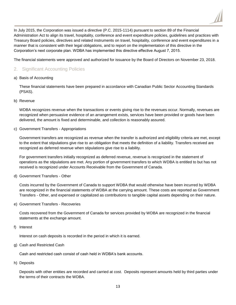

In July 2015, the Corporation was issued a directive (P.C. 2015-1114) pursuant to section 89 of the Financial Administration Act to align its travel, hospitality, conference and event expenditure policies, guidelines and practices with Treasury Board policies, directives and related instruments on travel, hospitality, conference and event expenditures in a manner that is consistent with their legal obligations, and to report on the implementation of this directive in the Corporation's next corporate plan. WDBA has implemented this directive effective August 7, 2015.

The financial statements were approved and authorized for issuance by the Board of Directors on November 23, 2018.

# 2. Significant Accounting Policies

a) Basis of Accounting

These financial statements have been prepared in accordance with Canadian Public Sector Accounting Standards (PSAS).

b) Revenue

WDBA recognizes revenue when the transactions or events giving rise to the revenues occur. Normally, revenues are recognized when persuasive evidence of an arrangement exists, services have been provided or goods have been delivered, the amount is fixed and determinable, and collection is reasonably assured.

c) Government Transfers - Appropriations

Government transfers are recognized as revenue when the transfer is authorized and eligibility criteria are met, except to the extent that stipulations give rise to an obligation that meets the definition of a liability. Transfers received are recognized as deferred revenue when stipulations give rise to a liability.

For government transfers initially recognized as deferred revenue, revenue is recognized in the statement of operations as the stipulations are met. Any portion of government transfers to which WDBA is entitled to but has not received is recognized under Accounts Receivable from the Government of Canada.

d) Government Transfers - Other

Costs incurred by the Government of Canada to support WDBA that would otherwise have been incurred by WDBA are recognized in the financial statements of WDBA at the carrying amount. These costs are reported as Government Transfers - Other, and expensed or capitalized as contributions to tangible capital assets depending on their nature.

e) Government Transfers - Recoveries

Costs recovered from the Government of Canada for services provided by WDBA are recognized in the financial statements at the exchange amount.

f) Interest

Interest on cash deposits is recorded in the period in which it is earned.

g) Cash and Restricted Cash

Cash and restricted cash consist of cash held in WDBA's bank accounts.

h) Deposits

Deposits with other entities are recorded and carried at cost. Deposits represent amounts held by third parties under the terms of their contracts the WDBA.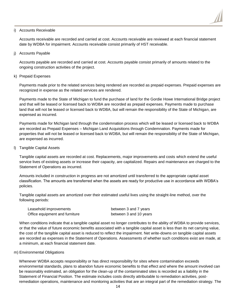

#### i) Accounts Receivable

Accounts receivable are recorded and carried at cost. Accounts receivable are reviewed at each financial statement date by WDBA for impairment. Accounts receivable consist primarily of HST receivable.

j) Accounts Payable

Accounts payable are recorded and carried at cost. Accounts payable consist primarily of amounts related to the ongoing construction activities of the project.

k) Prepaid Expenses

Payments made prior to the related services being rendered are recorded as prepaid expenses. Prepaid expenses are recognized in expense as the related services are rendered.

Payments made to the State of Michigan to fund the purchase of land for the Gordie Howe International Bridge project and that will be leased or licensed back to WDBA are recorded as prepaid expenses. Payments made to purchase land that will not be leased or licensed back to WDBA, but will remain the responsibility of the State of Michigan, are expensed as incurred.

Payments made for Michigan land through the condemnation process which will be leased or licensed back to WDBA are recorded as Prepaid Expenses – Michigan Land Acquisitions through Condemnation. Payments made for properties that will not be leased or licensed back to WDBA, but will remain the responsibility of the State of Michigan, are expensed as incurred.

l) Tangible Capital Assets

Tangible capital assets are recorded at cost. Replacements, major improvements and costs which extend the useful service lives of existing assets or increase their capacity, are capitalized. Repairs and maintenance are charged to the Statement of Operations as incurred.

Amounts included in construction in progress are not amortized until transferred to the appropriate capital asset classification. The amounts are transferred when the assets are ready for productive use in accordance with WDBA's policies.

Tangible capital assets are amortized over their estimated useful lives using the straight-line method, over the following periods:

| Leasehold improvements         | between 3 and 7 years  |
|--------------------------------|------------------------|
| Office equipment and furniture | between 3 and 10 years |

When conditions indicate that a tangible capital asset no longer contributes to the ability of WDBA to provide services, or that the value of future economic benefits associated with a tangible capital asset is less than its net carrying value, the cost of the tangible capital asset is reduced to reflect the impairment. Net write-downs on tangible capital assets are recorded as expenses in the Statement of Operations. Assessments of whether such conditions exist are made, at a minimum, at each financial statement date.

#### m) Environmental Obligations

Whenever WDBA accepts responsibility or has direct responsibility for sites where contamination exceeds environmental standards, plans to abandon future economic benefits to that effect and where the amount involved can be reasonably estimated, an obligation for the clean-up of the contaminated sites is recorded as a liability in the Statement of Financial Position. The estimate includes costs directly attributable to remediation activities, postremediation operations, maintenance and monitoring activities that are an integral part of the remediation strategy. The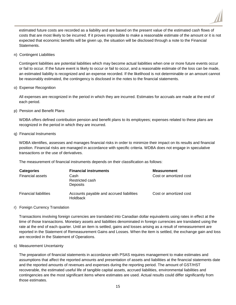

estimated future costs are recorded as a liability and are based on the present value of the estimated cash flows of costs that are most likely to be incurred. If it proves impossible to make a reasonable estimate of the amount or it is not expected that economic benefits will be given up, the situation will be disclosed through a note to the Financial Statements.

n) Contingent Liabilities

Contingent liabilities are potential liabilities which may become actual liabilities when one or more future events occur or fail to occur. If the future event is likely to occur or fail to occur, and a reasonable estimate of the loss can be made, an estimated liability is recognized and an expense recorded. If the likelihood is not determinable or an amount cannot be reasonably estimated, the contingency is disclosed in the notes to the financial statements.

o) Expense Recognition

All expenses are recognized in the period in which they are incurred. Estimates for accruals are made at the end of each period.

p) Pension and Benefit Plans

WDBA offers defined contribution pension and benefit plans to its employees; expenses related to these plans are recognized in the period in which they are incurred.

#### q) Financial Instruments

WDBA identifies, assesses and manages financial risks in order to minimize their impact on its results and financial position. Financial risks are managed in accordance with specific criteria. WDBA does not engage in speculative transactions or the use of derivatives.

The measurement of financial instruments depends on their classification as follows:

| <b>Categories</b><br><b>Financial assets</b> | <b>Financial instruments</b><br>Cash<br>Restricted cash                 | <b>Measurement</b><br>Cost or amortized cost |
|----------------------------------------------|-------------------------------------------------------------------------|----------------------------------------------|
| <b>Financial liabilities</b>                 | Deposits<br>Accounts payable and accrued liabilities<br><b>Holdback</b> | Cost or amortized cost                       |

#### r) Foreign Currency Translation

Transactions involving foreign currencies are translated into Canadian dollar equivalents using rates in effect at the time of those transactions. Monetary assets and liabilities denominated in foreign currencies are translated using the rate at the end of each quarter. Until an item is settled, gains and losses arising as a result of remeasurement are reported in the Statement of Remeasurement Gains and Losses. When the item is settled, the exchange gain and loss are recorded in the Statement of Operations.

#### s) Measurement Uncertainty

The preparation of financial statements in accordance with PSAS requires management to make estimates and assumptions that affect the reported amounts and presentation of assets and liabilities at the financial statements date and the reported amounts of revenues and expenses during the reporting period. The amount of GST/HST recoverable, the estimated useful life of tangible capital assets, accrued liabilities, environmental liabilities and contingencies are the most significant items where estimates are used. Actual results could differ significantly from those estimates.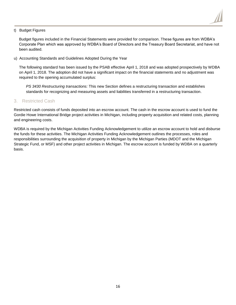

#### t) Budget Figures

Budget figures included in the Financial Statements were provided for comparison. These figures are from WDBA's Corporate Plan which was approved by WDBA's Board of Directors and the Treasury Board Secretariat, and have not been audited.

u) Accounting Standards and Guidelines Adopted During the Year

The following standard has been issued by the PSAB effective April 1, 2018 and was adopted prospectively by WDBA on April 1, 2018. The adoption did not have a significant impact on the financial statements and no adjustment was required to the opening accumulated surplus:

*PS 3430 Restructuring transactions:* This new Section defines a restructuring transaction and establishes standards for recognizing and measuring assets and liabilities transferred in a restructuring transaction.

#### 3. Restricted Cash

Restricted cash consists of funds deposited into an escrow account. The cash in the escrow account is used to fund the Gordie Howe International Bridge project activities in Michigan, including property acquisition and related costs, planning and engineering costs.

WDBA is required by the Michigan Activities Funding Acknowledgement to utilize an escrow account to hold and disburse the funds for these activities. The Michigan Activities Funding Acknowledgement outlines the processes, roles and responsibilities surrounding the acquisition of property in Michigan by the Michigan Parties (MDOT and the Michigan Strategic Fund, or MSF) and other project activities in Michigan. The escrow account is funded by WDBA on a quarterly basis.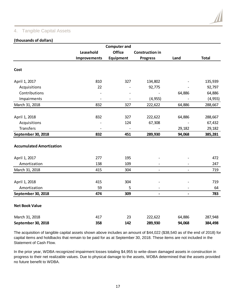# 4. Tangible Capital Assets

### **(thousands of dollars)**

|                                                  |              | <b>Computer and</b> |                              |                          |                   |
|--------------------------------------------------|--------------|---------------------|------------------------------|--------------------------|-------------------|
|                                                  | Leasehold    | <b>Office</b>       | <b>Construction in</b>       |                          |                   |
|                                                  | Improvements | <b>Equipment</b>    | <b>Progress</b>              | Land                     | <b>Total</b>      |
| Cost                                             |              |                     |                              |                          |                   |
| April 1, 2017                                    | 810          | 327                 | 134,802                      |                          | 135,939           |
| Acquisitions                                     | 22           |                     | 92,775                       |                          | 92,797            |
| Contributions                                    |              |                     |                              | 64,886                   | 64,886            |
| Impairments                                      |              |                     | (4, 955)                     | $\overline{a}$           | (4, 955)          |
| March 31, 2018                                   | 832          | 327                 | 222,622                      | 64,886                   | 288,667           |
| April 1, 2018<br>Acquisitions                    | 832          | 327<br>124          | 222,622<br>67,308            | 64,886                   | 288,667<br>67,432 |
| <b>Transfers</b><br>September 30, 2018           | 832          | 451                 | 289,930                      | 29,182<br>94,068         | 29,182<br>385,281 |
| <b>Accumulated Amortization</b><br>April 1, 2017 | 277          | 195                 |                              |                          | 472               |
| Amortization                                     | 138          | 109                 |                              |                          | 247               |
| March 31, 2018                                   | 415          | 304                 | $\overline{a}$               |                          | 719               |
| April 1, 2018<br>Amortization                    | 415<br>59    | 304<br>5            |                              |                          | 719<br>64         |
| September 30, 2018                               | 474          | 309                 | $\qquad \qquad \blacksquare$ | $\overline{\phantom{0}}$ | 783               |
| <b>Net Book Value</b>                            |              |                     |                              |                          |                   |
| March 31, 2018                                   | 417          | 23                  | 222,622                      | 64,886                   | 287,948           |
| September 30, 2018                               | 358          | 142                 | 289,930                      | 94,068                   | 384,498           |

The acquisition of tangible capital assets shown above includes an amount of \$44,022 (\$38,540 as of the end of 2018) for capital items and holdbacks that remain to be paid for as at September 30, 2018. These items are not included in the Statement of Cash Flow.

In the prior year, WDBA recognized impairment losses totaling \$4,955 to write-down damaged assets in construction in progress to their net realizable values. Due to physical damage to the assets, WDBA determined that the assets provided no future benefit to WDBA.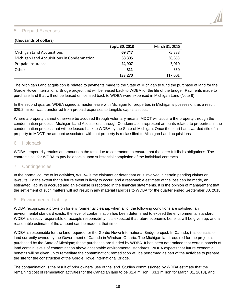# 5. Prepaid Expenses

### **(thousands of dollars)**

|                                            | Sept. 30, 2018 | March 31, 2018 |
|--------------------------------------------|----------------|----------------|
| Michigan Land Acquisitions                 | 69,747         | 75,388         |
| Michigan Land Acquisitions in Condemnation | 38,305         | 38,853         |
| Prepaid Insurance                          | 24,907         | 3,010          |
| Other                                      | 311            | 350            |
|                                            | 133,270        | 117,601        |

The Michigan Land acquisition is related to payments made to the State of Michigan to fund the purchase of land for the Gordie Howe International Bridge project that will be leased back to WDBA for the life of the bridge. Payments made to purchase land that will not be leased or licensed back to WDBA were expensed in Michigan Land (Note 9).

In the second quarter, WDBA signed a master lease with Michigan for properties in Michigan's possession, as a result \$29.2 million was transferred from prepaid expenses to tangible capital assets.

Where a property cannot otherwise be acquired through voluntary means, MDOT will acquire the property through the condemnation process. Michigan Land Acquisitions through Condemnation represent amounts related to properties in the condemnation process that will be leased back to WDBA by the State of Michigan. Once the court has awarded title of a property to MDOT the amount associated with that property is reclassified to Michigan Land acquisitions.

# 6. Holdback

WDBA temporarily retains an amount on the total due to contractors to ensure that the latter fulfills its obligations. The contracts call for WDBA to pay holdbacks upon substantial completion of the individual contracts.

# 7. Contingencies

In the normal course of its activities, WDBA is the claimant or defendant or is involved in certain pending claims or lawsuits. To the extent that a future event is likely to occur, and a reasonable estimate of the loss can be made, an estimated liability is accrued and an expense is recorded in the financial statements. It is the opinion of management that the settlement of such matters will not result in any material liabilities to WDBA for the quarter ended September 30, 2018.

# 8. Environmental Liability

WDBA recognizes a provision for environmental cleanup when all of the following conditions are satisfied: an environmental standard exists; the level of contamination has been determined to exceed the environmental standard; WDBA is directly responsible or accepts responsibility; it is expected that future economic benefits will be given up; and a reasonable estimate of the amount can be made at that time.

WDBA is responsible for the land required for the Gordie Howe International Bridge project. In Canada, this consists of land currently owned by the Government of Canada in Windsor, Ontario. The Michigan land required for the project is purchased by the State of Michigan; these purchases are funded by WDBA. It has been determined that certain parcels of land contain levels of contamination above acceptable environmental standards. WDBA expects that future economic benefits will be given up to remediate the contamination; remediation will be performed as part of the activities to prepare the site for the construction of the Gordie Howe International Bridge.

The contamination is the result of prior owners' use of the land. Studies commissioned by WDBA estimate that the remaining cost of remediation activities for the Canadian land to be \$1.4 million, (\$3.1 million for March 31, 2018), and